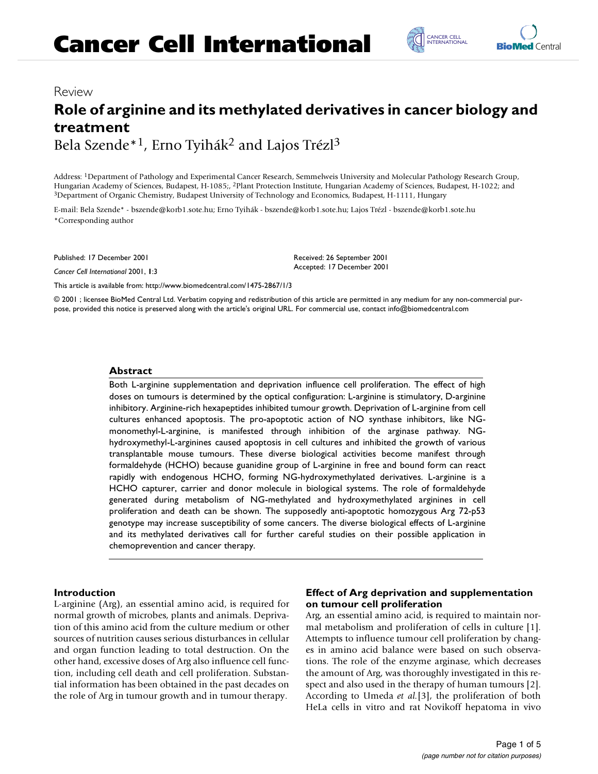## **Review**

# **Role of arginine and its methylated derivatives in cancer biology and treatment** Bela Szende\*<sup>1</sup>, Erno Tyihák<sup>2</sup> and Lajos Trézl<sup>3</sup>

Address: 1Department of Pathology and Experimental Cancer Research, Semmelweis University and Molecular Pathology Research Group, Hungarian Academy of Sciences, Budapest, H-1085;, <sup>2</sup>Plant Protection Institute, Hungarian Academy of Sciences, Budapest, H-1022; and <sup>3</sup>Department of Organic Chemistry, Budapest University of Technology and Economics, Bud

E-mail: Bela Szende\* - bszende@korb1.sote.hu; Erno Tyihák - bszende@korb1.sote.hu; Lajos Trézl - bszende@korb1.sote.hu \*Corresponding author

Published: 17 December 2001

*Cancer Cell International* 2001, **1**:3

Accepted: 17 December 2001 [This article is available from: http://www.biomedcentral.com/1475-2867/1/3](http://www.biomedcentral.com/1475-2867/1/3)

© 2001 ; licensee BioMed Central Ltd. Verbatim copying and redistribution of this article are permitted in any medium for any non-commercial purpose, provided this notice is preserved along with the article's original URL. For commercial use, contact info@biomedcentral.com

Received: 26 September 2001

#### **Abstract**

Both L-arginine supplementation and deprivation influence cell proliferation. The effect of high doses on tumours is determined by the optical configuration: L-arginine is stimulatory, D-arginine inhibitory. Arginine-rich hexapeptides inhibited tumour growth. Deprivation of L-arginine from cell cultures enhanced apoptosis. The pro-apoptotic action of NO synthase inhibitors, like NGmonomethyl-L-arginine, is manifested through inhibition of the arginase pathway. NGhydroxymethyl-L-arginines caused apoptosis in cell cultures and inhibited the growth of various transplantable mouse tumours. These diverse biological activities become manifest through formaldehyde (HCHO) because guanidine group of L-arginine in free and bound form can react rapidly with endogenous HCHO, forming NG-hydroxymethylated derivatives. L-arginine is a HCHO capturer, carrier and donor molecule in biological systems. The role of formaldehyde generated during metabolism of NG-methylated and hydroxymethylated arginines in cell proliferation and death can be shown. The supposedly anti-apoptotic homozygous Arg 72-p53 genotype may increase susceptibility of some cancers. The diverse biological effects of L-arginine and its methylated derivatives call for further careful studies on their possible application in chemoprevention and cancer therapy.

#### **Introduction**

L-arginine (Arg), an essential amino acid, is required for normal growth of microbes, plants and animals. Deprivation of this amino acid from the culture medium or other sources of nutrition causes serious disturbances in cellular and organ function leading to total destruction. On the other hand, excessive doses of Arg also influence cell function, including cell death and cell proliferation. Substantial information has been obtained in the past decades on the role of Arg in tumour growth and in tumour therapy.

## **Effect of Arg deprivation and supplementation on tumour cell proliferation**

Arg, an essential amino acid, is required to maintain normal metabolism and proliferation of cells in culture [[1](#page-3-0)]. Attempts to influence tumour cell proliferation by changes in amino acid balance were based on such observations. The role of the enzyme arginase, which decreases the amount of Arg, was thoroughly investigated in this respect and also used in the therapy of human tumours [[2](#page-3-1)]. According to Umeda *et al.*[\[3\]](#page-3-2), the proliferation of both HeLa cells in vitro and rat Novikoff hepatoma in vivo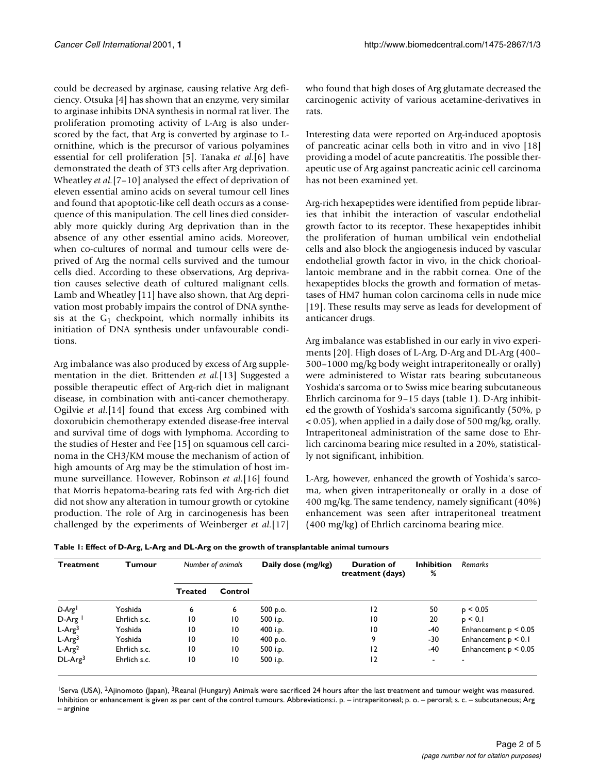could be decreased by arginase, causing relative Arg deficiency. Otsuka [\[4\]](#page-3-3) has shown that an enzyme, very similar to arginase inhibits DNA synthesis in normal rat liver. The proliferation promoting activity of L-Arg is also underscored by the fact, that Arg is converted by arginase to Lornithine, which is the precursor of various polyamines essential for cell proliferation [\[5](#page-3-4)]. Tanaka *et al.*[[6](#page-3-5)] have demonstrated the death of 3T3 cells after Arg deprivation. Wheatley *et al.*[\[7–](#page-3-6)[10\]](#page-3-7) analysed the effect of deprivation of eleven essential amino acids on several tumour cell lines and found that apoptotic-like cell death occurs as a consequence of this manipulation. The cell lines died considerably more quickly during Arg deprivation than in the absence of any other essential amino acids. Moreover, when co-cultures of normal and tumour cells were deprived of Arg the normal cells survived and the tumour cells died. According to these observations, Arg deprivation causes selective death of cultured malignant cells. Lamb and Wheatley [[11\]](#page-3-8) have also shown, that Arg deprivation most probably impairs the control of DNA synthesis at the  $G_1$  checkpoint, which normally inhibits its initiation of DNA synthesis under unfavourable conditions.

Arg imbalance was also produced by excess of Arg supplementation in the diet. Brittenden *et al.*[\[13](#page-3-9)] Suggested a possible therapeutic effect of Arg-rich diet in malignant disease, in combination with anti-cancer chemotherapy. Ogilvie *et al.*[\[14\]](#page-3-10) found that excess Arg combined with doxorubicin chemotherapy extended disease-free interval and survival time of dogs with lymphoma. According to the studies of Hester and Fee [[15\]](#page-3-11) on squamous cell carcinoma in the CH3/KM mouse the mechanism of action of high amounts of Arg may be the stimulation of host immune surveillance. However, Robinson *et al.*[\[16](#page-3-12)] found that Morris hepatoma-bearing rats fed with Arg-rich diet did not show any alteration in tumour growth or cytokine production. The role of Arg in carcinogenesis has been challenged by the experiments of Weinberger *et al.*[[17\]](#page-3-13) who found that high doses of Arg glutamate decreased the carcinogenic activity of various acetamine-derivatives in rats.

Interesting data were reported on Arg-induced apoptosis of pancreatic acinar cells both in vitro and in vivo [[18\]](#page-3-14) providing a model of acute pancreatitis. The possible therapeutic use of Arg against pancreatic acinic cell carcinoma has not been examined yet.

Arg-rich hexapeptides were identified from peptide libraries that inhibit the interaction of vascular endothelial growth factor to its receptor. These hexapeptides inhibit the proliferation of human umbilical vein endothelial cells and also block the angiogenesis induced by vascular endothelial growth factor in vivo, in the chick chorioallantoic membrane and in the rabbit cornea. One of the hexapeptides blocks the growth and formation of metastases of HM7 human colon carcinoma cells in nude mice [[19](#page-3-15)]. These results may serve as leads for development of anticancer drugs.

Arg imbalance was established in our early in vivo experiments [[20](#page-3-16)]. High doses of L-Arg, D-Arg and DL-Arg (400– 500–1000 mg/kg body weight intraperitoneally or orally) were administered to Wistar rats bearing subcutaneous Yoshida's sarcoma or to Swiss mice bearing subcutaneous Ehrlich carcinoma for 9–15 days (table [1\)](#page-1-0). D-Arg inhibited the growth of Yoshida's sarcoma significantly (50%, p < 0.05), when applied in a daily dose of 500 mg/kg, orally. Intraperitoneal administration of the same dose to Ehrlich carcinoma bearing mice resulted in a 20%, statistically not significant, inhibition.

<span id="page-1-0"></span>L-Arg, however, enhanced the growth of Yoshida's sarcoma, when given intraperitoneally or orally in a dose of 400 mg/kg. The same tendency, namely significant (40%) enhancement was seen after intraperitoneal treatment (400 mg/kg) of Ehrlich carcinoma bearing mice.

|  |  |  | Table 1: Effect of D-Arg, L-Arg and DL-Arg on the growth of transplantable animal tumours |
|--|--|--|-------------------------------------------------------------------------------------------|
|--|--|--|-------------------------------------------------------------------------------------------|

| <b>Treatment</b> | Tumour       | Number of animals |         | Daily dose (mg/kg) | <b>Duration of</b><br>treatment (days) | <b>Inhibition</b><br>% | Remarks                |
|------------------|--------------|-------------------|---------|--------------------|----------------------------------------|------------------------|------------------------|
|                  |              | <b>Treated</b>    | Control |                    |                                        |                        |                        |
| $D-Arg$          | Yoshida      | 6                 | 6       | 500 p.o.           | 12                                     | 50                     | p < 0.05               |
| $D-Arg$          | Ehrlich s.c. | 10                | 10      | 500 i.p.           | 10                                     | 20                     | p < 0.1                |
| $L-Arg3$         | Yoshida      | 10                | 10      | 400 i.p.           | 10                                     | $-40$                  | Enhancement $p < 0.05$ |
| $L-Arg3$         | Yoshida      | 10                | 10      | 400 p.o.           | 9                                      | -30                    | Enhancement $p < 0.1$  |
| $L-Arg2$         | Ehrlich s.c. | 10                | 10      | 500 i.p.           | 12                                     | $-40$                  | Enhancement $p < 0.05$ |
| $DL-Arg3$        | Ehrlich s.c. | 10                | 10      | 500 i.p.           | 12                                     | $\blacksquare$         |                        |

<sup>1</sup>Serva (USA), <sup>2</sup>Ajinomoto (Japan), <sup>3</sup>Reanal (Hungary) Animals were sacrificed 24 hours after the last treatment and tumour weight was measured. Inhibition or enhancement is given as per cent of the control tumours. Abbreviations:i. p. - intraperitoneal; p. o. - peroral; s. c. - subcutaneous; Arg – arginine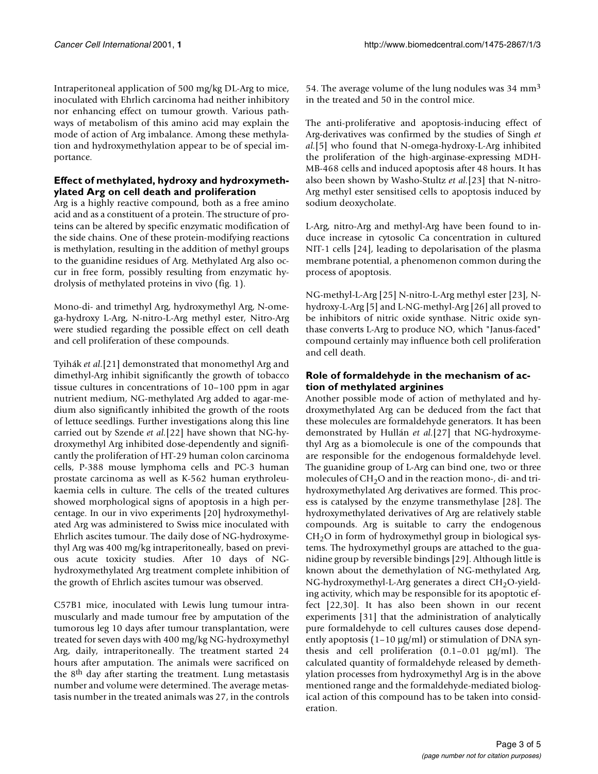Intraperitoneal application of 500 mg/kg DL-Arg to mice, inoculated with Ehrlich carcinoma had neither inhibitory nor enhancing effect on tumour growth. Various pathways of metabolism of this amino acid may explain the mode of action of Arg imbalance. Among these methylation and hydroxymethylation appear to be of special importance.

## **Effect of methylated, hydroxy and hydroxymethylated Arg on cell death and proliferation**

Arg is a highly reactive compound, both as a free amino acid and as a constituent of a protein. The structure of proteins can be altered by specific enzymatic modification of the side chains. One of these protein-modifying reactions is methylation, resulting in the addition of methyl groups to the guanidine residues of Arg. Methylated Arg also occur in free form, possibly resulting from enzymatic hydrolysis of methylated proteins in vivo (fig. 1).

Mono-di- and trimethyl Arg, hydroxymethyl Arg, N-omega-hydroxy L-Arg, N-nitro-L-Arg methyl ester, Nitro-Arg were studied regarding the possible effect on cell death and cell proliferation of these compounds.

Tyihák *et al.*[[21\]](#page-3-17) demonstrated that monomethyl Arg and dimethyl-Arg inhibit significantly the growth of tobacco tissue cultures in concentrations of 10–100 ppm in agar nutrient medium, NG-methylated Arg added to agar-medium also significantly inhibited the growth of the roots of lettuce seedlings. Further investigations along this line carried out by Szende *et al.*[[22\]](#page-3-18) have shown that NG-hydroxymethyl Arg inhibited dose-dependently and significantly the proliferation of HT-29 human colon carcinoma cells, P-388 mouse lymphoma cells and PC-3 human prostate carcinoma as well as K-562 human erythroleukaemia cells in culture. The cells of the treated cultures showed morphological signs of apoptosis in a high percentage. In our in vivo experiments [[20\]](#page-3-16) hydroxymethylated Arg was administered to Swiss mice inoculated with Ehrlich ascites tumour. The daily dose of NG-hydroxymethyl Arg was 400 mg/kg intraperitoneally, based on previous acute toxicity studies. After 10 days of NGhydroxymethylated Arg treatment complete inhibition of the growth of Ehrlich ascites tumour was observed.

C57B1 mice, inoculated with Lewis lung tumour intramuscularly and made tumour free by amputation of the tumorous leg 10 days after tumour transplantation, were treated for seven days with 400 mg/kg NG-hydroxymethyl Arg, daily, intraperitoneally. The treatment started 24 hours after amputation. The animals were sacrificed on the 8th day after starting the treatment. Lung metastasis number and volume were determined. The average metastasis number in the treated animals was 27, in the controls 54. The average volume of the lung nodules was 34 mm<sup>3</sup> in the treated and 50 in the control mice.

The anti-proliferative and apoptosis-inducing effect of Arg-derivatives was confirmed by the studies of Singh *et al.*[\[5\]](#page-3-4) who found that N-omega-hydroxy-L-Arg inhibited the proliferation of the high-arginase-expressing MDH-MB-468 cells and induced apoptosis after 48 hours. It has also been shown by Washo-Stultz *et al.*[[23\]](#page-3-19) that N-nitro-Arg methyl ester sensitised cells to apoptosis induced by sodium deoxycholate.

L-Arg, nitro-Arg and methyl-Arg have been found to induce increase in cytosolic Ca concentration in cultured NIT-1 cells [[24](#page-3-20)], leading to depolarisation of the plasma membrane potential, a phenomenon common during the process of apoptosis.

NG-methyl-L-Arg [[25](#page-3-21)] N-nitro-L-Arg methyl ester [\[23](#page-3-19)], Nhydroxy-L-Arg [\[5\]](#page-3-4) and L-NG-methyl-Arg [\[26](#page-3-22)] all proved to be inhibitors of nitric oxide synthase. Nitric oxide synthase converts L-Arg to produce NO, which "Janus-faced" compound certainly may influence both cell proliferation and cell death.

## **Role of formaldehyde in the mechanism of action of methylated arginines**

Another possible mode of action of methylated and hydroxymethylated Arg can be deduced from the fact that these molecules are formaldehyde generators. It has been demonstrated by Hullán *et al.*[\[27](#page-3-23)] that NG-hydroxymethyl Arg as a biomolecule is one of the compounds that are responsible for the endogenous formaldehyde level. The guanidine group of L-Arg can bind one, two or three molecules of  $CH<sub>2</sub>O$  and in the reaction mono-, di- and trihydroxymethylated Arg derivatives are formed. This process is catalysed by the enzyme transmethylase [\[28](#page-3-24)]. The hydroxymethylated derivatives of Arg are relatively stable compounds. Arg is suitable to carry the endogenous  $CH<sub>2</sub>O$  in form of hydroxymethyl group in biological systems. The hydroxymethyl groups are attached to the guanidine group by reversible bindings [\[29\]](#page-3-25). Although little is known about the demethylation of NG-methylated Arg, NG-hydroxymethyl-L-Arg generates a direct  $CH<sub>2</sub>O$ -yielding activity, which may be responsible for its apoptotic effect [[22](#page-3-18)[,30\]](#page-3-26). It has also been shown in our recent experiments [[31](#page-4-0)] that the administration of analytically pure formaldehyde to cell cultures causes dose dependently apoptosis (1-10 µg/ml) or stimulation of DNA synthesis and cell proliferation (0.1–0.01 µg/ml). The calculated quantity of formaldehyde released by demethylation processes from hydroxymethyl Arg is in the above mentioned range and the formaldehyde-mediated biological action of this compound has to be taken into consideration.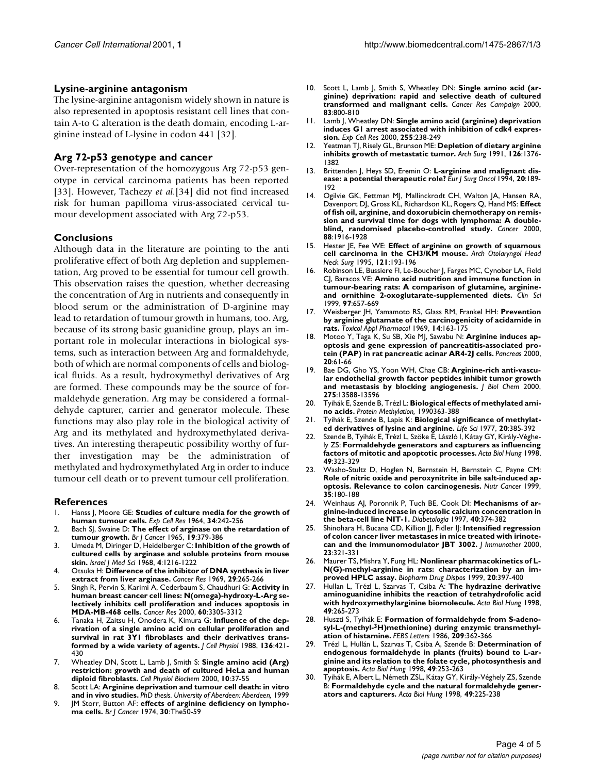## **Lysine-arginine antagonism**

The lysine-arginine antagonism widely shown in nature is also represented in apoptosis resistant cell lines that contain A-to G alteration is the death domain, encoding L-arginine instead of L-lysine in codon 441 [[32\]](#page-4-1).

## **Arg 72-p53 genotype and cancer**

Over-representation of the homozygous Arg 72-p53 genotype in cervical carcinoma patients has been reported [[33](#page-4-2)]. However, Tachezy *et al.*[\[34](#page-4-3)] did not find increased risk for human papilloma virus-associated cervical tumour development associated with Arg 72-p53.

## **Conclusions**

Although data in the literature are pointing to the anti proliferative effect of both Arg depletion and supplementation, Arg proved to be essential for tumour cell growth. This observation raises the question, whether decreasing the concentration of Arg in nutrients and consequently in blood serum or the administration of D-arginine may lead to retardation of tumour growth in humans, too. Arg, because of its strong basic guanidine group, plays an important role in molecular interactions in biological systems, such as interaction between Arg and formaldehyde, both of which are normal components of cells and biological fluids. As a result, hydroxymethyl derivatives of Arg are formed. These compounds may be the source of formaldehyde generation. Arg may be considered a formaldehyde capturer, carrier and generator molecule. These functions may also play role in the biological activity of Arg and its methylated and hydroxymethylated derivatives. An interesting therapeutic possibility worthy of further investigation may be the administration of methylated and hydroxymethylated Arg in order to induce tumour cell death or to prevent tumour cell proliferation.

#### **References**

- <span id="page-3-0"></span>Hanss J, Moore GE: Studies of culture media for the growth of **human tumour cells.** *Exp Cell Res* 1964, **34**:242-256
- <span id="page-3-1"></span>2. Bach SJ, Swaine D: **The effect of arginase on the retardation of tumour growth.** *Br J Cancer* 1965, **19**:379-386
- <span id="page-3-2"></span>3. [Umeda M, Diringer D, Heidelberger C:](http://www.ncbi.nlm.nih.gov/entrez/query.fcgi?cmd=Retrieve&db=PubMed&dopt=Abstract&list_uids=4306504) **Inhibition of the growth of cultured cells by arginase and soluble proteins from mouse skin.** *Israel J Med Sci* 1968, **4**:1216-1222
- <span id="page-3-3"></span>4. [Otsuka H:](http://www.ncbi.nlm.nih.gov/entrez/query.fcgi?cmd=Retrieve&db=PubMed&dopt=Abstract&list_uids=5763981) **Difference of the inhibitor of DNA synthesis in liver extract from liver arginase.** *Cancer Res* 1969, **29**:265-266
- <span id="page-3-4"></span>5. [Singh R, Pervin S, Karimi A, Cederbaum S, Chaudhuri G:](http://www.ncbi.nlm.nih.gov/entrez/query.fcgi?cmd=Retrieve&db=PubMed&dopt=Abstract&list_uids=10866325) **Activity in human breast cancer cell lines: N(omega)-hydroxy-L-Arg selectively inhibits cell proliferation and induces apoptosis in MDA-MB-468 cells.** *Cancer Res* 2000, **60**:3305-3312
- <span id="page-3-5"></span>6. [Tanaka H, Zaitsu H, Onodera K, Kimura G:](http://www.ncbi.nlm.nih.gov/entrez/query.fcgi?cmd=Retrieve&db=PubMed&dopt=Abstract&list_uids=2844831) **Influence of the deprivation of a single amino acid on cellular proliferation and survival in rat 3Y1 fibroblasts and their derivatives transformed by a wide variety of agents.** *J Cell Physiol* 1988, **136**:421- 430
- <span id="page-3-6"></span>7. [Wheatley DN, Scott L, Lamb J, Smith S:](http://www.ncbi.nlm.nih.gov/entrez/query.fcgi?cmd=Retrieve&db=PubMed&dopt=Abstract&list_uids=10846151) **Single amino acid (Arg) restriction: growth and death of cultured HeLa and human diploid fibroblasts.** *Cell Physiol Biochem* 2000, **10**:37-55
- 8. Scott LA: **Arginine deprivation and tumour cell death: in vitro and in vivo studies.** *PhD thesis. University of Aberdeen: Aberdeen,* 1999
- 9. JM Storr, Button AF: **effects of arginine deficiency on lymphoma cells.** *Br J Cancer* 1974, **30**:The50-59
- <span id="page-3-7"></span>10. Scott L, Lamb J, Smith S, Wheatley DN: **Single amino acid (arginine) deprivation: rapid and selective death of cultured transformed and malignant cells.** *Cancer Res Campaign* 2000, **83**:800-810
- <span id="page-3-8"></span>11. [Lamb J, Wheatley DN:](http://www.ncbi.nlm.nih.gov/entrez/query.fcgi?cmd=Retrieve&db=PubMed&dopt=Abstract&list_uids=10694439) **Single amino acid (arginine) deprivation induces G1 arrest associated with inhibition of cdk4 expression.** *Exp Cell Res* 2000, **255**:238-249
- 12. [Yeatman TJ, Risely GL, Brunson ME:](http://www.ncbi.nlm.nih.gov/entrez/query.fcgi?cmd=Retrieve&db=PubMed&dopt=Abstract&list_uids=1747050) **Depletion of dietary arginine inhibits growth of metastatic tumor.** *Arch Surg* 1991, **126**:1376- 1382
- <span id="page-3-9"></span>13. [Brittenden J, Heys SD, Eremin O:](http://www.ncbi.nlm.nih.gov/entrez/query.fcgi?cmd=Retrieve&db=PubMed&dopt=Abstract&list_uids=8181591) **L-arginine and malignant disease: a potential therapeutic role?** *Eur J Surg Oncol* 1994, **20**:189- 192
- <span id="page-3-10"></span>14. [Ogilvie GK, Fettman MJ, Mallinckrodt CH, Walton JA, Hansen RA,](http://www.ncbi.nlm.nih.gov/entrez/query.fcgi?cmd=Retrieve&db=PubMed&dopt=Abstract&list_uids=10760770) [Davenport DJ, Gross KL, Richardson KL, Rogers Q, Hand MS:](http://www.ncbi.nlm.nih.gov/entrez/query.fcgi?cmd=Retrieve&db=PubMed&dopt=Abstract&list_uids=10760770) **Effect of fish oil, arginine, and doxorubicin chemotherapy on remission and survival time for dogs with lymphoma: A doubleblind, randomised placebo-controlled study.** *Cancer* 2000, **88**:1916-1928
- <span id="page-3-11"></span>15. [Hester JE, Fee WE:](http://www.ncbi.nlm.nih.gov/entrez/query.fcgi?cmd=Retrieve&db=PubMed&dopt=Abstract&list_uids=7840927) **Effect of arginine on growth of squamous cell carcinoma in the CH3/KM mouse.** *Arch Otolaryngol Head Neck Surg* 1995, **121**:193-196
- <span id="page-3-12"></span>16. [Robinson LE, Bussiere FI, Le-Boucher J, Farges MC, Cynober LA, Field](http://www.ncbi.nlm.nih.gov/entrez/query.fcgi?cmd=Retrieve&db=PubMed&dopt=Abstract&list_uids=10585893) [CJ, Baracos VE:](http://www.ncbi.nlm.nih.gov/entrez/query.fcgi?cmd=Retrieve&db=PubMed&dopt=Abstract&list_uids=10585893) **Amino acid nutrition and immune function in tumour-bearing rats: A comparison of glutamine, arginineand ornithine 2-oxoglutarate-supplemented diets.** *Clin Sci* 1999, **97**:657-669
- <span id="page-3-13"></span>17. [Weisberger JH, Yamamoto RS, Glass RM, Frankel HH:](http://www.ncbi.nlm.nih.gov/entrez/query.fcgi?cmd=Retrieve&db=PubMed&dopt=Abstract&list_uids=4304688) **Prevention by arginine glutamate of the carcinogenicity of acidamide in rats.** *Toxicol Appl Pharmacol* 1969, **14**:163-175
- <span id="page-3-14"></span>18. [Motoo Y, Taga K, Su SB, Xie MJ, Sawabu N:](http://www.ncbi.nlm.nih.gov/entrez/query.fcgi?cmd=Retrieve&db=PubMed&dopt=Abstract&list_uids=10630385) **Arginine induces apoptosis and gene expression of pancreatitis-associated protein (PAP) in rat pancreatic acinar AR4-2J cells.** *Pancreas* 2000, **20**:61-66
- <span id="page-3-15"></span>19. [Bae DG, Gho YS, Yoon WH, Chae CB:](http://www.ncbi.nlm.nih.gov/entrez/query.fcgi?cmd=Retrieve&db=PubMed&dopt=Abstract&list_uids=10788475) **Arginine-rich anti-vascular endothelial growth factor peptides inhibit tumor growth and metastasis by blocking angiogenesis.** *J Biol Chem* 2000, **275**:13588-13596
- <span id="page-3-16"></span>20. Tyihák E, Szende B, Trézl L: **Biological effects of methylated amino acids.** *Protein Methylation,* 1990363-388
- <span id="page-3-17"></span>21. [Tyihák E, Szende B, Lapis K:](http://www.ncbi.nlm.nih.gov/entrez/query.fcgi?cmd=Retrieve&db=PubMed&dopt=Abstract&list_uids=190512) **Biological significance of methylated derivatives of lysine and arginine.** *Life Sci* 1977, **20**:385-392
- <span id="page-3-18"></span>22. [Szende B, Tyihák E, Trézl L, Szöke É, László I, Kátay GY, Király-Véghe](http://www.ncbi.nlm.nih.gov/entrez/query.fcgi?cmd=Retrieve&db=PubMed&dopt=Abstract&list_uids=10526976)[ly ZS:](http://www.ncbi.nlm.nih.gov/entrez/query.fcgi?cmd=Retrieve&db=PubMed&dopt=Abstract&list_uids=10526976) **Formaldehyde generators and capturers as influencing factors of mitotic and apoptotic processes.** *Acta Biol Hung* 1998, **49**:323-329
- <span id="page-3-19"></span>23. [Washo-Stultz D, Hoglen N, Bernstein H, Bernstein C, Payne CM:](http://www.ncbi.nlm.nih.gov/entrez/query.fcgi?cmd=Retrieve&db=PubMed&dopt=Abstract&list_uids=10693173) **Role of nitric oxide and peroxynitrite in bile salt-induced apoptosis. Relevance to colon carcinogenesis.** *Nutr Cancer* 1999, **35**:180-188
- <span id="page-3-20"></span>24. [Weinhaus AJ, Poronnik P, Tuch BE, Cook DI:](http://www.ncbi.nlm.nih.gov/entrez/query.fcgi?cmd=Retrieve&db=PubMed&dopt=Abstract&list_uids=9112013) **Mechanisms of arginine-induced increase in cytosolic calcium concentration in the beta-cell line NIT-1.** *Diabetologia* 1997, **40**:374-382
- <span id="page-3-21"></span>25. [Shinohara H, Bucana CD, Killion JJ, Fidler IJ:](http://www.ncbi.nlm.nih.gov/entrez/query.fcgi?cmd=Retrieve&db=PubMed&dopt=Abstract&list_uids=10838661) **Intensified regression of colon cancer liver metastases in mice treated with irinotecan and the immunomodulator JBT 3002.** *J Immunother* 2000, **23**:321-331
- <span id="page-3-22"></span>26. [Maurer TS, Mishra Y, Fung HL:](http://www.ncbi.nlm.nih.gov/entrez/query.fcgi?cmd=Retrieve&db=PubMed&dopt=Abstract&list_uids=10870097) **Nonlinear pharmacokinetics of L-N(G)-methyl-arginine in rats: characterization by an improved HPLC assay.** *Biopharm Drug Dispos* 1999, **20**:397-400
- <span id="page-3-23"></span>27. [Hullan L, Trézl L, Szarvas T, Csiba A:](http://www.ncbi.nlm.nih.gov/entrez/query.fcgi?cmd=Retrieve&db=PubMed&dopt=Abstract&list_uids=10526969) **The hydrazine derivative aminoguanidine inhibits the reaction of tetrahydrofolic acid with hydroxymethylarginine biomolecule.** *Acta Biol Hung* 1998, **49**:265-273
- <span id="page-3-24"></span>28. [Huszti S, Tyihák E:](http://www.ncbi.nlm.nih.gov/entrez/query.fcgi?cmd=Retrieve&db=PubMed&dopt=Abstract&list_uids=3792555) **Formation of formaldehyde from S-adenosyl-L-(methyl-3H)methionine) during enzymic transmethylation of histamine.** *FEBS Letters* 1986, **209**:362-366
- <span id="page-3-25"></span>29. [Trézl L, Hullán L, Szarvas T, Csiba A, Szende B:](http://www.ncbi.nlm.nih.gov/entrez/query.fcgi?cmd=Retrieve&db=PubMed&dopt=Abstract&list_uids=10526968) **Determination of endogenous formaldehyde in plants (fruits) bound to L-arginine and its relation to the folate cycle, photosynthesis and apoptosis.** *Acta Biol Hung* 1998, **49**:253-263
- <span id="page-3-26"></span>30. [Tyihák E, Albert L, Németh ZSL, Kátay GY, Király-Véghely ZS, Szende](http://www.ncbi.nlm.nih.gov/entrez/query.fcgi?cmd=Retrieve&db=PubMed&dopt=Abstract&list_uids=10526965) [B:](http://www.ncbi.nlm.nih.gov/entrez/query.fcgi?cmd=Retrieve&db=PubMed&dopt=Abstract&list_uids=10526965) **Formaldehyde cycle and the natural formaldehyde generators and capturers.** *Acta Biol Hung* 1998, **49**:225-238